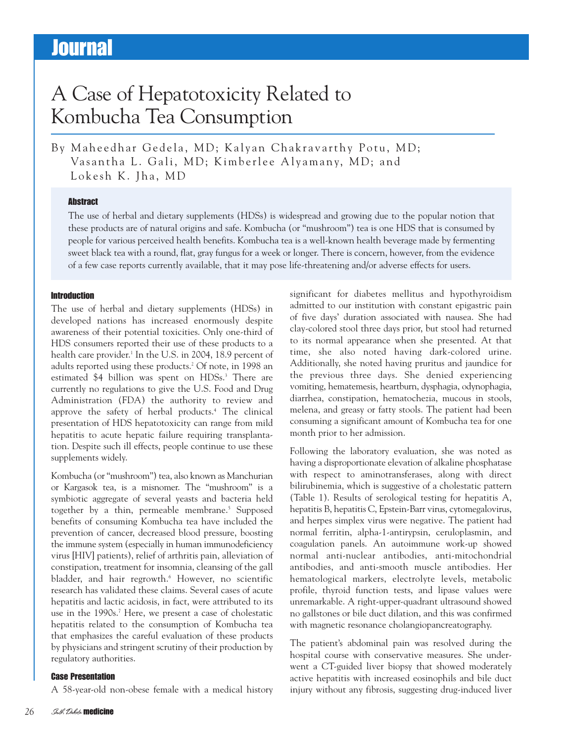# **Journal**

# A Case of Hepatotoxicity Related to Kombucha Tea Consumption

By Maheedhar Gedela, MD; Kalyan Chakravarthy Potu, MD; Vasantha L. Gali, MD; Kimberlee Alyamany, MD; and Lokesh K. Jha, MD

### **Abstract**

The use of herbal and dietary supplements (HDSs) is widespread and growing due to the popular notion that these products are of natural origins and safe. Kombucha (or "mushroom") tea is one HDS that is consumed by people for various perceived health benefits. Kombucha tea is a well-known health beverage made by fermenting sweet black tea with a round, flat, gray fungus for a week or longer. There is concern, however, from the evidence of a few case reports currently available, that it may pose life-threatening and/or adverse effects for users.

### Introduction

The use of herbal and dietary supplements (HDSs) in developed nations has increased enormously despite awareness of their potential toxicities. Only one-third of HDS consumers reported their use of these products to a health care provider. <sup>1</sup> In the U.S. in 2004, 18.9 percent of adults reported using these products. <sup>2</sup> Of note, in 1998 an estimated \$4 billion was spent on HDSs. <sup>3</sup> There are currently no regulations to give the U.S. Food and Drug Administration (FDA) the authority to review and approve the safety of herbal products. <sup>4</sup> The clinical presentation of HDS hepatotoxicity can range from mild hepatitis to acute hepatic failure requiring transplantation. Despite such ill effects, people continue to use these supplements widely.

Kombucha (or "mushroom") tea, also known as Manchurian or Kargasok tea, is a misnomer. The "mushroom" is a symbiotic aggregate of several yeasts and bacteria held together by a thin, permeable membrane. <sup>5</sup> Supposed benefits of consuming Kombucha tea have included the prevention of cancer, decreased blood pressure, boosting the immune system (especially in human immunodeficiency virus [HIV] patients), relief of arthritis pain, alleviation of constipation, treatment for insomnia, cleansing of the gall bladder, and hair regrowth. <sup>6</sup> However, no scientific research has validated these claims. Several cases of acute hepatitis and lactic acidosis, in fact, were attributed to its use in the 1990s. <sup>7</sup> Here, we present a case of cholestatic hepatitis related to the consumption of Kombucha tea that emphasizes the careful evaluation of these products by physicians and stringent scrutiny of their production by regulatory authorities.

### Case Presentation

A 58-year-old non-obese female with a medical history

significant for diabetes mellitus and hypothyroidism admitted to our institution with constant epigastric pain of five days' duration associated with nausea. She had clay-colored stool three days prior, but stool had returned to its normal appearance when she presented. At that time, she also noted having dark-colored urine. Additionally, she noted having pruritus and jaundice for the previous three days. She denied experiencing vomiting, hematemesis, heartburn, dysphagia, odynophagia, diarrhea, constipation, hematochezia, mucous in stools, melena, and greasy or fatty stools. The patient had been consuming a significant amount of Kombucha tea for one month prior to her admission.

Following the laboratory evaluation, she was noted as having a disproportionate elevation of alkaline phosphatase with respect to aminotransferases, along with direct bilirubinemia, which is suggestive of a cholestatic pattern (Table 1). Results of serological testing for hepatitis A, hepatitis B, hepatitis C, Epstein-Barr virus, cytomegalovirus, and herpes simplex virus were negative. The patient had normal ferritin, alpha-1-antirypsin, ceruloplasmin, and coagulation panels. An autoimmune work-up showed normal anti-nuclear antibodies, anti-mitochondrial antibodies, and anti-smooth muscle antibodies. Her hematological markers, electrolyte levels, metabolic profile, thyroid function tests, and lipase values were unremarkable. A right-upper-quadrant ultrasound showed no gallstones or bile duct dilation, and this was confirmed with magnetic resonance cholangiopancreatography.

The patient's abdominal pain was resolved during the hospital course with conservative measures. She underwent a CT-guided liver biopsy that showed moderately active hepatitis with increased eosinophils and bile duct injury without any fibrosis, suggesting drug-induced liver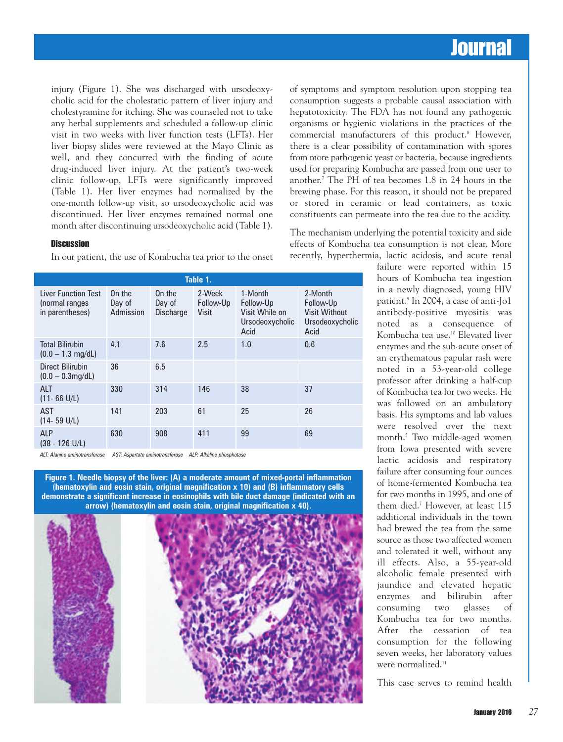### **Journal**

injury (Figure 1). She was discharged with ursodeoxycholic acid for the cholestatic pattern of liver injury and cholestyramine for itching. She was counseled not to take any herbal supplements and scheduled a follow-up clinic visit in two weeks with liver function tests (LFTs). Her liver biopsy slides were reviewed at the Mayo Clinic as well, and they concurred with the finding of acute drug-induced liver injury. At the patient's two-week clinic follow-up, LFTs were significantly improved (Table 1). Her liver enzymes had normalized by the one-month follow-up visit, so ursodeoxycholic acid was discontinued. Her liver enzymes remained normal one month after discontinuing ursodeoxycholic acid (Table 1).

#### **Discussion**

In our patient, the use of Kombucha tea prior to the onset

| Table 1.                                                        |                               |                                      |                                     |                                                                   |                                                                         |
|-----------------------------------------------------------------|-------------------------------|--------------------------------------|-------------------------------------|-------------------------------------------------------------------|-------------------------------------------------------------------------|
| <b>Liver Function Test</b><br>(normal ranges<br>in parentheses) | On the<br>Day of<br>Admission | On the<br>Day of<br><b>Discharge</b> | 2-Week<br>Follow-Up<br><b>Visit</b> | 1-Month<br>Follow-Up<br>Visit While on<br>Ursodeoxycholic<br>Acid | 2-Month<br>Follow-Up<br><b>Visit Without</b><br>Ursodeoxycholic<br>Acid |
| <b>Total Bilirubin</b><br>$(0.0 - 1.3$ mg/dL)                   | 4.1                           | 7.6                                  | 2.5                                 | 1.0                                                               | 0.6                                                                     |
| <b>Direct Bilirubin</b><br>$(0.0 - 0.3$ mg/dL)                  | 36                            | 6.5                                  |                                     |                                                                   |                                                                         |
| <b>ALT</b><br>$(11 - 66 \text{ U/L})$                           | 330                           | 314                                  | 146                                 | 38                                                                | 37                                                                      |
| <b>AST</b><br>$(14 - 59 \text{ U/L})$                           | 141                           | 203                                  | 61                                  | 25                                                                | 26                                                                      |
| <b>ALP</b><br>$(38 - 126$ U/L)                                  | 630                           | 908                                  | 411                                 | 99                                                                | 69                                                                      |

*ALT: Alanine aminotransferase AST: Aspartate aminotransferase ALP: Alkaline phosphatase*

**Figure 1. Needle biopsy of the liver: (A) a moderate amount of mixed-portal inflammation (hematoxylin and eosin stain, original magnification x 10) and (B) inflammatory cells demonstrate a significant increase in eosinophils with bile duct damage (indicated with an arrow) (hematoxylin and eosin stain, original magnification x 40).**



of symptoms and symptom resolution upon stopping tea consumption suggests a probable causal association with hepatotoxicity. The FDA has not found any pathogenic organisms or hygienic violations in the practices of the commercial manufacturers of this product. <sup>8</sup> However, there is a clear possibility of contamination with spores from more pathogenic yeast or bacteria, because ingredients used for preparing Kombucha are passed from one user to another. <sup>7</sup> The PH of tea becomes 1.8 in 24 hours in the brewing phase. For this reason, it should not be prepared or stored in ceramic or lead containers, as toxic constituents can permeate into the tea due to the acidity.

The mechanism underlying the potential toxicity and side effects of Kombucha tea consumption is not clear. More recently, hyperthermia, lactic acidosis, and acute renal

> failure were reported within 15 hours of Kombucha tea ingestion in a newly diagnosed, young HIV patient. <sup>9</sup> In 2004, a case of anti-Jo1 antibody-positive myositis was noted as a consequence of Kombucha tea use. <sup>10</sup> Elevated liver enzymes and the sub-acute onset of an erythematous papular rash were noted in a 53-year-old college professor after drinking a half-cup of Kombucha tea for two weeks. He was followed on an ambulatory basis. His symptoms and lab values were resolved over the next month. <sup>5</sup> Two middle-aged women from Iowa presented with severe lactic acidosis and respiratory failure after consuming four ounces of home-fermented Kombucha tea for two months in 1995, and one of them died. <sup>7</sup> However, at least 115 additional individuals in the town had brewed the tea from the same source as those two affected women and tolerated it well, without any ill effects. Also, a 55-year-old alcoholic female presented with jaundice and elevated hepatic enzymes and bilirubin after consuming two glasses of Kombucha tea for two months. After the cessation of tea consumption for the following seven weeks, her laboratory values were normalized. 11

This case serves to remind health